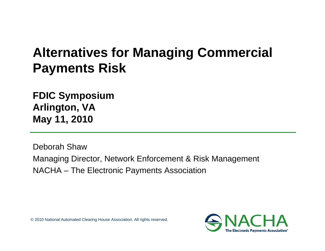# **Alternatives for Managing Commercial Payments Risk**

**FDIC Symposium Arlington, VA May 11, 2010**

Deborah ShawManaging Director, Network Enforcement & Risk Management NACHA – The Electronic Payments Association

© 2010 National Automated Clearing House Association. All rights reserved.

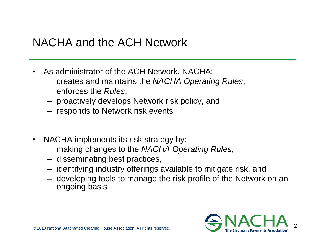## NACHA and the ACH Network

- • As administrator of the ACH Network, NACHA:
	- creates and maintains the *NACHA Operating Rules*,
	- enforces the *Rules*,
	- proactively develops Network risk policy, and
	- responds to Network risk events
- • NACHA implements its risk strategy by:
	- making changes to the *NACHA Operating Rules*,
	- disseminating best practices,
	- identifying industry offerings available to mitigate risk, and
	- developing tools to manage the risk profile of the Network on an ongoing basis

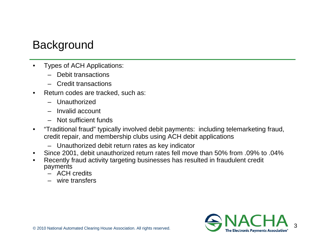# **Background**

- • Types of ACH Applications:
	- Debit transactions
	- Credit transactions
- • Return codes are tracked, such as:
	- Unauthorized
	- Invalid account
	- Not sufficient funds
- $\bullet$  "Traditional fraud" typically involved debit payments: including telemarketing fraud, credit repair, and membership clubs using ACH debit applications
	- –Unauthorized debit return rates as key indicator
- •Since 2001, debit unauthorized return rates fell move than 50% from .09% to .04%
- • Recently fraud activity targeting businesses has resulted in fraudulent credit payments
	- ACH credits
	- wire transfers

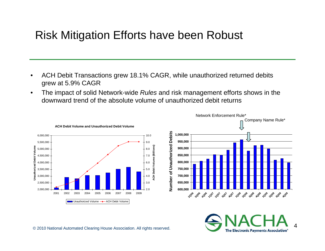### Risk Mitigation Efforts have been Robust

- • ACH Debit Transactions grew 18.1% CAGR, while unauthorized returned debits grew at 5.9% CAGR
- • The impact of solid Network-wide *Rules* and risk management efforts shows in the downward trend of the absolute volume of unauthorized debit returns





4**The Electronic Payments Association**<sup>®</sup>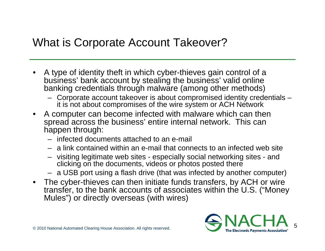#### What is Corporate Account Takeover?

- • A type of identity theft in which cyber-thieves gain control of a business' bank account by stealing the business' valid online banking credentials through malware (among other methods)
	- Corporate account takeover is about compromised identity credentials it is not about compromises of the wire system or ACH Network
- A computer can become infected with malware which can then spread across the business' entire internal network. This can happen through:
	- infected documents attached to an e-mail
	- a link contained within an e-mail that connects to an infected web site
	- visiting legitimate web sites especially social networking sites and clicking on the documents, videos or photos posted there
	- a USB port using a flash drive (that was infected by another computer)
- The cyber-thieves can then initiate funds transfers, by ACH or wire transfer, to the bank accounts of associates within the U.S. ("Money Mules") or directly overseas (with wires)

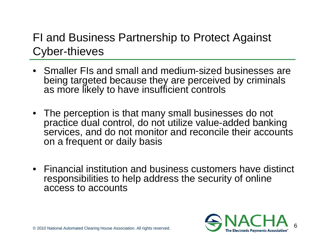# FI and Business Partnership to Protect Against Cyber-thieves

- Smaller FIs and small and medium-sized businesses are being targeted because they are perceived by criminals as more likely to have insufficient controls
- The perception is that many small businesses do not practice dual control, do not utilize value-added banking services, and do not monitor and reconcile their accounts on a frequent or daily basis
- Financial institution and business customers have distinct responsibilities to help address the security of online access to accounts

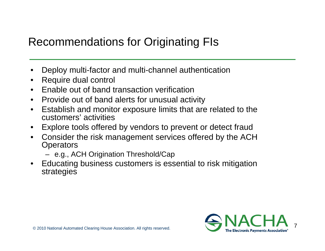# Recommendations for Originating FIs

- •Deploy multi-factor and multi-channel authentication
- •Require dual control
- •Enable out of band transaction verification
- $\bullet$ Provide out of band alerts for unusual activity
- $\bullet$  Establish and monitor exposure limits that are related to the customers' activities
- •Explore tools offered by vendors to prevent or detect fraud
- • Consider the risk management services offered by the ACH **Operators** 
	- e.g., ACH Origination Threshold/Cap
- • Educating business customers is essential to risk mitigation strategies

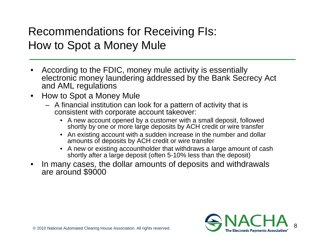## Recommendations for Receiving FIs: How to Spot a Money Mule

- • According to the FDIC, money mule activity is essentially electronic money laundering addressed by the Bank Secrecy Act and AML regulations
- • How to Spot a Money Mule
	- A financial institution can look for a pattern of activity that is consistent with corporate account takeover:
		- A new account opened by a customer with a small deposit, followed shortly by one or more large deposits by ACH credit or wire transfer
		- An existing account with a sudden increase in the number and dollar amounts of deposits by ACH credit or wire transfer
		- A new or existing accountholder that withdraws a large amount of cash shortly after a large deposit (often 5-10% less than the deposit)
- •In many cases, the dollar amounts of deposits and withdrawals are around \$9000

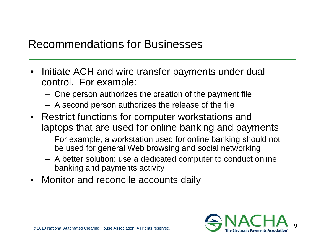#### Recommendations for Businesses

- • Initiate ACH and wire transfer payments under dual control. For example:
	- –One person authorizes the creation of the payment file
	- –A second person authorizes the release of the file
- Restrict functions for computer workstations and laptops that are used for online banking and payments
	- – For example, a workstation used for online banking should not be used for general Web browsing and social networking
	- – A better solution: use a dedicated computer to conduct online banking and payments activity
- •Monitor and reconcile accounts daily

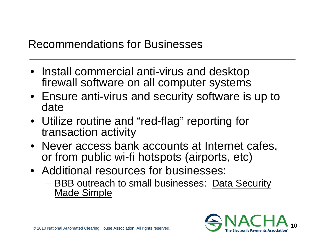### Recommendations for Businesses

- Install commercial anti-virus and desktop firewall software on all computer systems
- Ensure anti-virus and security software is up to date
- Utilize routine and "red-flag" reporting for transaction activity
- Never access bank accounts at Internet cafes, or from public wi-fi hotspots (airports, etc)
- Additional resources for businesses:
	- **Links of the Common** BBB outreach to small businesses: Data Security Made Simple